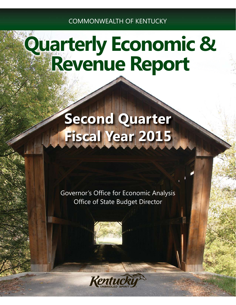COMMONWEALTH OF KENTUCKY

# **Quarterly Economic & Revenue Report**

## **Second Quarter Fiscal Year 2015**

Governor's Office for Economic Analysis Office of State Budget Director



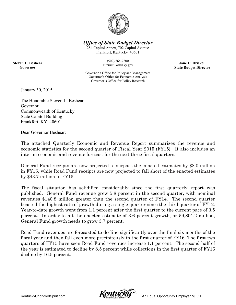

*Office of State Budget Director*

284 Capitol Annex, 702 Capitol Avenue Frankfort, Kentucky 40601

> (502) 564-7300 Internet: osbd.ky.gov

**Jane C. Driskell State Budget Director**

Governor's Office for Policy and Management Governor's Office for Economic Analysis Governor's Office for Policy Research

January 30, 2015

**Steven L. Beshear Governor**

> The Honorable Steven L. Beshear Governor Commonwealth of Kentucky State Capitol Building Frankfort, KY 40601

Dear Governor Beshear:

The attached Quarterly Economic and Revenue Report summarizes the revenue and economic statistics for the second quarter of Fiscal Year 2015 (FY15). It also includes an interim economic and revenue forecast for the next three fiscal quarters.

General Fund receipts are now projected to surpass the enacted estimates by \$8.0 million in FY15, while Road Fund receipts are now projected to fall short of the enacted estimates by \$43.7 million in FY15.

The fiscal situation has solidified considerably since the first quarterly report was published. General Fund revenue grew 5.8 percent in the second quarter, with nominal revenues \$140.8 million greater than the second quarter of FY14. The second quarter boasted the highest rate of growth during a single quarter since the third quarter of FY12. Year-to-date growth went from 1.1 percent after the first quarter to the current pace of 3.5 percent. In order to hit the enacted estimate of 3.6 percent growth, or \$9,801.2 million, General Fund growth needs to grow 3.7 percent.

Road Fund revenues are forecasted to decline significantly over the final six months of the fiscal year and then fall even more precipitously in the first quarter of FY16. The first two quarters of FY15 have seen Road Fund revenues increase 1.1 percent. The second half of the year is estimated to decline by 8.5 percent while collections in the first quarter of FY16 decline by 16.5 percent.

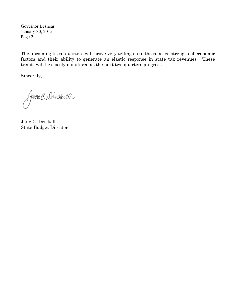Governor Beshear January 30, 2015 Page 2

The upcoming fiscal quarters will prove very telling as to the relative strength of economic factors and their ability to generate an elastic response in state tax revenues. These trends will be closely monitored as the next two quarters progress.

Sincerely,

Jane C. Diskell

Jane C. Driskell State Budget Director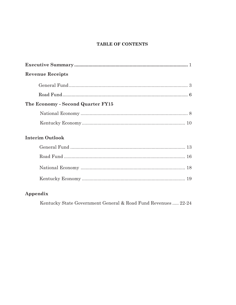## TABLE OF CONTENTS

| ${\bf Executive\; Summary\;{}~~}\dots\!{}~~\dots\!{}~~\dots\!{}~~\dots\!{}~~\dots\!{}~~\dots\!{}~~\dots\!{}~~\dots\!{}~~\dots\!{}~~\dots\!{}~~\dots\!{}~~\dots\!{}~~\dots\!{}~~\dots\!{}~~\dots\!{}~~\dots\!{}~~\dots\!{}~~\dots\!{}~~\dots\!{}~~\dots\!{}~~\dots\!{}~~\dots\!{}~~\dots\!{}~~\dots\!{}~~\dots\!{}~~\dots\!{}~~\dots\!{}~~\dots\!{}~~\dots\!{}~~\dots\!{}~~\dots\!{}~~\dots\!{}~~\dots\!{}~~\dots\!{}~~\dots\!{}~~$ |
|------------------------------------------------------------------------------------------------------------------------------------------------------------------------------------------------------------------------------------------------------------------------------------------------------------------------------------------------------------------------------------------------------------------------------------|
| <b>Revenue Receipts</b>                                                                                                                                                                                                                                                                                                                                                                                                            |
|                                                                                                                                                                                                                                                                                                                                                                                                                                    |
|                                                                                                                                                                                                                                                                                                                                                                                                                                    |
| The Economy - Second Quarter FY15                                                                                                                                                                                                                                                                                                                                                                                                  |
|                                                                                                                                                                                                                                                                                                                                                                                                                                    |
|                                                                                                                                                                                                                                                                                                                                                                                                                                    |
| <b>Interim Outlook</b>                                                                                                                                                                                                                                                                                                                                                                                                             |
|                                                                                                                                                                                                                                                                                                                                                                                                                                    |
|                                                                                                                                                                                                                                                                                                                                                                                                                                    |
|                                                                                                                                                                                                                                                                                                                                                                                                                                    |
|                                                                                                                                                                                                                                                                                                                                                                                                                                    |
|                                                                                                                                                                                                                                                                                                                                                                                                                                    |

## Appendix

Kentucky State Government General & Road Fund Revenues ..... 22-24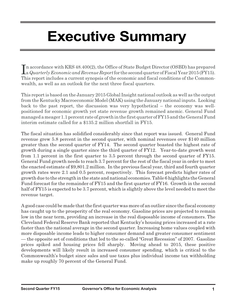## **Executive Summary**

In accordance with KRS 48.400(2), the Office of State Budget Director (OSBD) has prepared<br>a *Quarterly Economic and Revenue Report* for the second quarter of Fiscal Year 2015 (FY15). n accordance with KRS 48.400(2), the Office of State Budget Director (OSBD) has prepared This report includes a current synopsis of the economic and fiscal conditions of the Commonwealth, as well as an outlook for the next three fiscal quarters.

This report is based on the January 2015 Global Insight national outlook as well as the output from the Kentucky Macroeconomic Model (MAK) using the January national inputs. Looking back to the past report, the discussion was very hypothetical – the economy was wellpositioned for economic growth yet state revenue growth remained anemic. General Fund managed a meager 1.1 percent rate of growth in the first quarter of FY15 and the General Fund interim estimate called for a \$135.2 million shortfall in FY15.

The fiscal situation has solidified considerably since that report was issued. General Fund revenue grew 5.8 percent in the second quarter, with nominal revenues over \$140 million greater than the second quarter of FY14. The second quarter boasted the highest rate of growth during a single quarter since the third quarter of FY12. Year-to-date growth went from 1.1 percent in the first quarter to 3.5 percent through the second quarter of FY15. General Fund growth needs to reach 3.7 percent for the rest of the fiscal year in order to meet the enacted estimate of \$9,801.2 million. In the previous fiscal year, third and fourth quarter growth rates were 2.1 and 0.5 percent, respectively. This forecast predicts higher rates of growth due to the strength in the state and national economies. Table 6 highlights the General Fund forecast for the remainder of FY15 and the first quarter of FY16. Growth in the second half of FY15 is expected to be 3.7 percent, which is slightly above the level needed to meet the revenue target.

A good case could be made that the first quarter was more of an outlier since the fiscal economy has caught up to the prosperity of the real economy. Gasoline prices are projected to remain low in the near term, providing an increase in the real disposable income of consumers. The Cleveland Federal Reserve Bank reported that Kentucky's housing prices increased at a rate faster than the national average in the second quarter. Increasing home values coupled with more disposable income leads to higher consumer demand and greater consumer sentiment — the opposite set of conditions that led to the so-called "Great Recession" of 2007. Gasoline prices spiked and housing prices fell sharply. Moving ahead to 2015, these positive developments will likely result in increased consumer spending, which is critical to the Commonwealth's budget since sales and use taxes plus individual income tax withholding make up roughly 70 percent of the General Fund.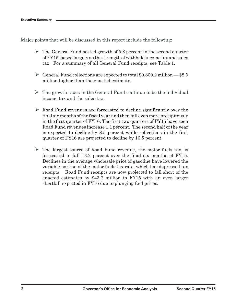Major points that will be discussed in this report include the following:

- The General Fund posted growth of 5.8 percent in the second quarter of FY15, based largely on the strength of withheld income tax and sales tax. For a summary of all General Fund receipts, see Table 1.
- General Fund collections are expected to total \$9,809.2 million \$8.0 million higher than the enacted estimate.
- The growth taxes in the General Fund continue to be the individual income tax and the sales tax.
- Road Fund revenues are forecasted to decline significantly over the final six months of the fiscal year and then fall even more precipitously in the first quarter of FY16. The first two quarters of FY15 have seen Road Fund revenues increase 1.1 percent. The second half of the year is expected to decline by 8.5 percent while collections in the first quarter of FY16 are projected to decline by 16.5 percent.
- > The largest source of Road Fund revenue, the motor fuels tax, is forecasted to fall 13.2 percent over the final six months of FY15. Declines in the average wholesale price of gasoline have lowered the variable portion of the motor fuels tax rate, which has depressed tax receipts. Road Fund receipts are now projected to fall short of the enacted estimates by \$43.7 million in FY15 with an even larger shortfall expected in FY16 due to plunging fuel prices.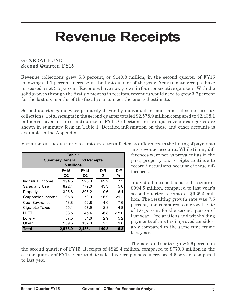## **Revenue Receipts**

## **GENERAL FUND Second Quarter, FY15**

Revenue collections grew 5.8 percent, or \$140.8 million, in the second quarter of FY15 following a 1.1 percent increase in the first quarter of the year. Year-to-date receipts have increased a net 3.5 percent. Revenues have now grown in four consecutive quarters. With the solid growth through the first six months in receipts, revenues would need to grow 3.7 percent for the last six months of the fiscal year to meet the enacted estimate.

Second quarter gains were primarily driven by individual income, and sales and use tax collections. Total receipts in the second quarter totaled \$2,578.9 million compared to \$2,438.1 million received in the second quarter of FY14. Collections in the major revenue categories are shown in summary form in Table 1. Detailed information on these and other accounts is available in the Appendix.

| Table 1<br><b>Summary General Fund Receipts</b><br>\$ millions |                                           |         |        |         |  |  |  |  |  |  |  |
|----------------------------------------------------------------|-------------------------------------------|---------|--------|---------|--|--|--|--|--|--|--|
|                                                                | <b>FY14</b><br><b>FY15</b><br><b>Diff</b> |         |        |         |  |  |  |  |  |  |  |
|                                                                | Q2                                        | Q2      | \$     | %       |  |  |  |  |  |  |  |
| Individual Income                                              | 994.5                                     | 925.3   | 69.2   | 7.5     |  |  |  |  |  |  |  |
| Sales and Use                                                  | 822.4                                     | 779.0   | 43.3   | 5.6     |  |  |  |  |  |  |  |
| Property                                                       | 325.8                                     | 306.2   | 19.6   | 6.4     |  |  |  |  |  |  |  |
| Corporation Income                                             | 96.8                                      | 79.9    | 16.9   | 21.2    |  |  |  |  |  |  |  |
| <b>Coal Severance</b>                                          | 48.8                                      | 52.8    | $-4.0$ | $-7.6$  |  |  |  |  |  |  |  |
| Cigarette Taxes                                                | 55.1                                      | 57.9    | $-2.8$ | $-4.8$  |  |  |  |  |  |  |  |
| LLET                                                           | 38.5                                      | 45.4    | $-6.8$ | $-15.0$ |  |  |  |  |  |  |  |
| Lottery                                                        | 57.5                                      | 54.6    | 2.9    | 5.2     |  |  |  |  |  |  |  |
| Other                                                          | 139.5                                     | 137.0   | 2.5    | 1.8     |  |  |  |  |  |  |  |
| <b>Total</b>                                                   | 2.578.9                                   | 2.438.1 | 140.8  | 5.8     |  |  |  |  |  |  |  |

Variations in the quarterly receipts are often affected by differences in the timing of payments

into revenue accounts. While timing differences were not as prevalent as in the past, property tax receipts continue to record fluctuations because of these differences.

Individual income tax posted receipts of \$994.5 million, compared to last year's second-quarter receipts of \$925.3 million. The resulting growth rate was 7.5 percent, and compares to a growth rate of 1.6 percent for the second quarter of last year. Declarations and withholding payments of this tax improved considerably compared to the same time frame last year.

The sales and use tax grew 5.6 percent in

the second quarter of FY15. Receipts of \$822.4 million, compared to \$779.0 million in the second quarter of FY14. Year-to-date sales tax receipts have increased 4.5 percent compared to last year.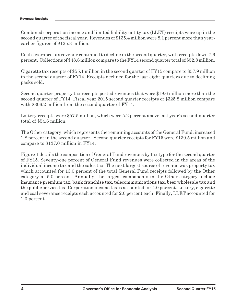Combined corporation income and limited liability entity tax (LLET) receipts were up in the second quarter of the fiscal year. Revenues of \$135.4 million were 8.1 percent more than yearearlier figures of \$125.3 million.

Coal severance tax revenue continued to decline in the second quarter, with receipts down 7.6 percent. Collections of \$48.8 million compare to the FY14 second quarter total of \$52.8 million.

Cigarette tax receipts of \$55.1 million in the second quarter of FY15 compare to \$57.9 million in the second quarter of FY14. Receipts declined for the last eight quarters due to declining packs sold.

Second quarter property tax receipts posted revenues that were \$19.6 million more than the second quarter of FY14. Fiscal year 2015 second quarter receipts of \$325.8 million compare with \$306.2 million from the second quarter of FY14.

Lottery receipts were \$57.5 million, which were 5.2 percent above last year's second-quarter total of \$54.6 million.

The Other category, which represents the remaining accounts of the General Fund, increased 1.8 percent in the second quarter. Second quarter receipts for FY15 were \$139.5 million and compare to \$137.0 million in FY14.

Figure 1 details the composition of General Fund revenues by tax type for the second quarter of FY15. Seventy-one percent of General Fund revenues were collected in the areas of the individual income tax and the sales tax. The next largest source of revenue was property tax which accounted for 13.0 percent of the total General Fund receipts followed by the Other category at 5.0 percent. Annually, the largest components in the Other category include insurance premium tax, bank franchise tax, telecommunications tax, beer wholesale tax and the public service tax. Corporation income taxes accounted for 4.0 percent. Lottery, cigarette and coal severance receipts each accounted for 2.0 percent each. Finally, LLET accounted for 1.0 percent.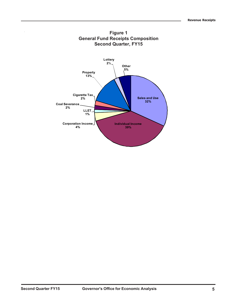

## **Second Quarter, FY15 Figure 1 General Fund Receipts Composition**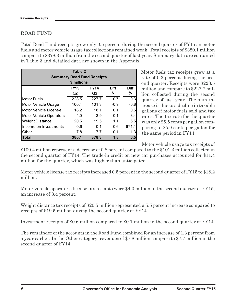## **ROAD FUND**

Total Road Fund receipts grew only 0.5 percent during the second quarter of FY15 as motor fuels and motor vehicle usage tax collections remained weak. Total receipts of \$380.1 million compare to \$378.3 million from the second quarter of last year. Summary data are contained in Table 2 and detailed data are shown in the Appendix.

| Table 2<br><b>Summary Road Fund Receipts</b><br>\$ millions |                   |                   |            |                  |  |  |  |  |  |  |
|-------------------------------------------------------------|-------------------|-------------------|------------|------------------|--|--|--|--|--|--|
|                                                             | <b>FY15</b><br>Q2 | <b>FY14</b><br>Q2 | Diff<br>\$ | <b>Diff</b><br>% |  |  |  |  |  |  |
| <b>Motor Fuels</b>                                          | 228.5             | 227.7             | 0.7        | 0.3              |  |  |  |  |  |  |
| Motor Vehicle Usage                                         | 100.4             | 101.3             | $-0.9$     | $-0.8$           |  |  |  |  |  |  |
| Motor Vehicle License                                       | 18.2              | 18.1              | 0.1        | 0.5              |  |  |  |  |  |  |
| <b>Motor Vehicle Operators</b>                              | 4.0               | 3.9               | 0.1        | 3.4              |  |  |  |  |  |  |
| <b>Weight Distance</b>                                      | 20.5              | 19.5              | 1.1        | 5.5              |  |  |  |  |  |  |
| Income on Investments                                       | 0.6               | 0.1               | 0.6        | 671.1            |  |  |  |  |  |  |
| Other                                                       | 7.8               | 7.7               | 0.1        | 1.3 <sup>1</sup> |  |  |  |  |  |  |
| Total                                                       | 380.1             | 378.3             | 1.8        | 0.5              |  |  |  |  |  |  |

Motor fuels tax receipts grew at a rate of 0.3 percent during the second quarter. Receipts were \$228.5 million and compare to \$227.7 million collected during the second quarter of last year. The slim increase is due to a decline in taxable gallons of motor fuels sold and tax rates. The tax rate for the quarter was only 25.5 cents per gallon comparing to 25.9 cents per gallon for the same period in FY14.

Motor vehicle usage tax receipts of

\$100.4 million represent a decrease of 0.8 percent compared to the \$101.3 million collected in the second quarter of FY14. The trade-in credit on new car purchases accounted for \$11.4 million for the quarter, which was higher than anticipated.

Motor vehicle license tax receipts increased 0.5 percent in the second quarter of FY15 to \$18.2 million.

Motor vehicle operator's license tax receipts were \$4.0 million in the second quarter of FY15, an increase of 3.4 percent.

Weight distance tax receipts of \$20.5 million represented a 5.5 percent increase compared to receipts of \$19.5 million during the second quarter of FY14.

Investment receipts of \$0.6 million compared to \$0.1 million in the second quarter of FY14.

The remainder of the accounts in the Road Fund combined for an increase of 1.3 percent from a year earlier. In the Other category, revenues of \$7.8 million compare to \$7.7 million in the second quarter of FY14.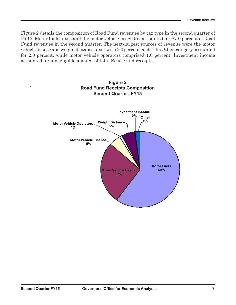Fund revenues in the second quarter. The next-largest sources of revenue were the motor Figure 2 details the composition of Road Fund revenues by tax type in the second quarter of FY15. Motor fuels taxes and the motor vehicle usage tax accounted for 87.0 percent of Road vehicle license and weight distance taxes with 5.0 percent each. The Other category accounted for 2.0 percent, while motor vehicle operators comprised 1.0 percent. Investment income accounted for a negligible amount of total Road Fund receipts.

**Figure 2**

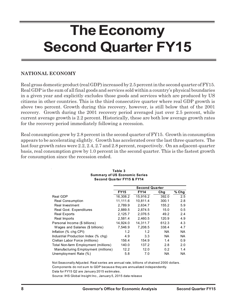## **The Economy Second Quarter FY15**

## **NATIONAL ECONOMY**

Real gross domestic product (real GDP) increased by 2.5 percent in the second quarter of FY15. Real GDP is the sum of all final goods and services sold within a country's physical boundaries in a given year and explicitly excludes those goods and services which are produced by US citizens in other countries. This is the third consecutive quarter where real GDP growth is above two percent. Growth during this recovery, however, is still below that of the 2001 recovery. Growth during the 2001 recovery period averaged just over 2.5 percent, while current average growth is 2.2 percent. Historically, these are both low average growth rates for the recovery period immediately following a recession.

Real consumption grew by 2.8 percent in the second quarter of FY15. Growth in consumption appears to be accelerating slightly. Growth has accelerated over the last three quarters. The last four growth rates were 2.2, 2.4, 2.7 and 2.8 percent, respectively. On an adjacent-quarter basis, real consumption grew by 1.0 percent in the second quarter. This is the fastest growth for consumption since the recession ended.

|                                      | <b>Second Quarter</b> |             |           |           |  |  |
|--------------------------------------|-----------------------|-------------|-----------|-----------|--|--|
|                                      | <b>FY15</b>           | <b>FY14</b> | Cha       | $%$ Chg   |  |  |
| Real GDP                             | 16.308.2              | 15.916.2    | 392.0     | 2.5       |  |  |
| <b>Real Consumption</b>              | 11,111.6              | 10,811.4    | 300.1     | 2.8       |  |  |
| <b>Real Investment</b>               | 2.789.9               | 2.634.7     | 155.2     | 5.9       |  |  |
| Real Govt. Expenditures              | 2,889.5               | 2,874.5     | 15.0      | 0.5       |  |  |
| <b>Real Exports</b>                  | 2.125.7               | 2.076.5     | 49.2      | 2.4       |  |  |
| Real Imports                         | 2,581.4               | 2.460.5     | 120.9     | 4.9       |  |  |
| Personal Income (\$ billions)        | 14,924.0              | 14.311.7    | 612.3     | 4.3       |  |  |
| Wages and Salaries (\$ billions)     | 7,546.9               | 7,208.5     | 338.4     | 4.7       |  |  |
| Inflation (% chg CPI)                | 1.2                   | 1.2         | <b>NA</b> | <b>NA</b> |  |  |
| Industrial Production Index (% chg)  | 4.9                   | 3.3         | <b>NA</b> | NA        |  |  |
| Civilian Labor Force (millions)      | 156.4                 | 154.9       | 1.4       | 0.9       |  |  |
| Total Non-farm Employment (millions) | 140.0                 | 137.2       | 2.8       | 2.0       |  |  |
| Manufacturing Employment (millions)  | 12.2                  | 12.0        | 0.2       | 1.4       |  |  |
| Unemployment Rate (%)                | 5.8                   | 7.0         | <b>NA</b> | NA.       |  |  |

#### **Second Quarter FY15 & FY14 Table 3 Summary of US Economic Series**

Not Seasonally Adjusted. Real series are annual rate, billions of chained 2000 dollars. Components do not sum to GDP because they are annualized independently. Data for FY15 Q2 are January 2015 estimates.

Source: IHS Global Insight Inc., January 5, 2015 data release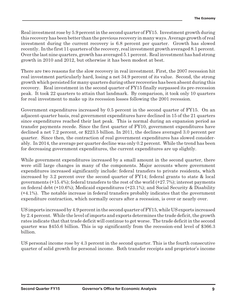investment during the current recovery is 6.8 percent per quarter. Growth has slowed Real investment rose by 5.9 percent in the second quarter of FY15. Investment growth during this recovery has been better than the previous recovery in many ways. Average growth of real recently. In the first 11 quarters of the recovery, real investment growth averaged 8.1 percent. Over the last nine quarters, growth has averaged 5.1 percent. Real investment has had strong growth in 2010 and 2012, but otherwise it has been modest at best.

There are two reasons for the slow recovery in real investment. First, the 2007 recession hit real investment particularly hard, losing a net 34.9 percent of its value. Second, the strong growth which persisted for many quarters during other recoveries has been absent during this recovery. Real investment in the second quarter of FY15 finally surpassed its pre-recession peak. It took 22 quarters to attain that landmark. By comparison, it took only 10 quarters for real investment to make up its recession losses following the 2001 recession.

Government expenditures increased by 0.5 percent in the second quarter of FY15. On an adjacent-quarter basis, real government expenditures have declined in 15 of the 21 quarters since expenditures reached their last peak. This is normal during an expansion period as transfer payments recede. Since the first quarter of FY10, government expenditures have declined a net 7.2 percent, or \$223.5 billion. In 2011, the declines averaged 3.0 percent per quarter. Since then, the contraction of real government expenditures has slowed considerably. In 2014, the average per quarter decline was only 0.2 percent. While the trend has been for decreasing government expenditures, the current expenditures are up slightly.

While government expenditures increased by a small amount in the second quarter, there were still large changes in many of the components. Major accounts where government expenditures increased significantly include: federal transfers to private residents, which increased by 3.2 percent over the second quarter of FY14; federal grants to state & local governments  $(+15.4\%)$ ; federal transfers to the rest of the world  $(+27.7\%)$ ; interest payments on federal debt (+10.6%); Medicaid expenditures (+23.1%); and Social Security & Disability (+4.1%). The notable increase in federal transfers probably indicates that the government expenditure contraction, which normally occurs after a recession, is over or nearly over.

US imports increased by 4.9 percent in the second quarter of FY15, while US exports increased by 2.4 percent. While the level of imports and exports determines the trade deficit, the growth rates indicate that that trade deficit will continue to get worse. The trade deficit in the second quarter was \$455.6 billion. This is up significantly from the recession-end level of \$366.3 billion.

US personal income rose by 4.3 percent in the second quarter. This is the fourth consecutive quarter of solid growth for personal income. Both transfer receipts and proprietor's income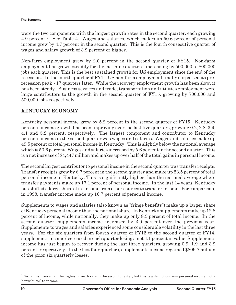were the two components with the largest growth rates in the second quarter, each growing 4.9 percent.<sup>1</sup> See Table 4. Wages and salaries, which makes up 50.6 percent of personal income grew by 4.7 percent in the second quarter. This is the fourth consecutive quarter of wages and salary growth of 3.9 percent or higher.

Non-farm employment grew by 2.0 percent in the second quarter of FY15. Non-farm employment has grown steadily for the last nine quarters, increasing by 500,000 to 800,000 jobs each quarter. This is the best sustained growth for US employment since the end of the recession. In the fourth quarter of FY14 US non-farm employment finally surpassed its prerecession peak - 17 quarters later. While the recovery employment growth has been slow, it has been steady. Business services and trade, transportation and utilities employment were large contributors to the growth in the second quarter of FY15, growing by 700,000 and 500,000 jobs respectively.

### **KENTUCKY ECONOMY**

Kentucky personal income grew by 5.2 percent in the second quarter of FY15. Kentucky personal income growth has been improving over the last five quarters, growing 0.2, 2.8, 3.9, 4.1 and 5.2 percent, respectively. The largest component and contributor to Kentucky personal income in the second quarter was wages and salaries. Wages and salaries make up 49.5 percent of total personal income in Kentucky. This is slightly below the national average which is 50.6 percent. Wages and salaries increased by 5.6 percent in the second quarter. This is a net increase of \$4,447 million and makes up over half of the total gains in personal income.

The second largest contributor to personal income in the second quarter was transfer receipts. Transfer receipts grew by 6.7 percent in the second quarter and make up 23.5 percent of total personal income in Kentucky. This is significantly higher than the national average where transfer payments make up 17.1 percent of personal income. In the last 14 years, Kentucky has shifted a large share of its income from other sources to transfer income. For comparison, in 1998, transfer income made up 16.7 percent of personal income.

Supplements to wages and salaries (also known as "fringe benefits") make up a larger share of Kentucky personal income than the national share. In Kentucky supplements make up 12.8 percent of income, while nationally, they make up only 8.3 percent of total income. In the second quarter, supplements income increased by 3.9 percent over the previous year. Supplements to wages and salaries experienced some considerable volatility in the last three years. For the six quarters from fourth quarter of FY12 to the second quarter of FY14, supplements income decreased in each quarter losing a net 4.1 percent in value. Supplements income has just begun to recover during the last three quarters, growing 0.9, 1.9 and 3.9 percent, respectively. In the last four quarters, supplements income regained \$809.7 million of the prior six quarterly losses.

<sup>&</sup>lt;sup>1</sup> Social insurance had the highest growth rate in the second quarter, but this is a deduction from personal income, not a 'contributor' to income.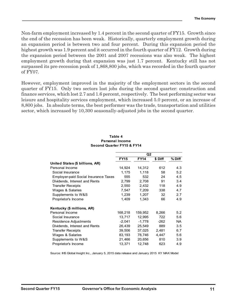an expansion period is between two and four percent. During this expansion period the Non-farm employment increased by 1.4 percent in the second quarter of FY15. Growth since the end of the recession has been weak. Historically, quarterly employment growth during highest growth was 1.9 percent and it occurred in the fourth quarter of FY12. Growth during the expansion period between the 2001 and 2007 recessions was also weak. The highest employment growth during that expansion was just 1.7 percent. Kentucky still has not surpassed its pre-recession peak of 1,868,800 jobs, which was recorded in the fourth quarter of FY07.

However, employment improved in the majority of the employment sectors in the second quarter of FY15. Only two sectors lost jobs during the second quarter: construction and finance services, which lost 2.7 and 1.6 percent, respectively. The best performing sector was leisure and hospitality services employment, which increased 5.0 percent, or an increase of 8,800 jobs. In absolute terms, the best performer was the trade, transportation and utilities sector, which increased by 10,300 seasonally-adjusted jobs in the second quarter.

|                                             |             | Q2          |         |        |
|---------------------------------------------|-------------|-------------|---------|--------|
|                                             | <b>FY15</b> | <b>FY14</b> | \$ Diff | % Diff |
| United States (\$ billions, AR)             |             |             |         |        |
| Personal Income                             | 14,924      | 14,312      | 612     | 4.3    |
| Social Insurance                            | 1,175       | 1,118       | 58      | 5.2    |
| <b>Employer-paid Social Insurance Taxes</b> | 555         | 532         | 24      | 4.5    |
| Dividends, Interest and Rents               | 2,799       | 2,708       | 91      | 3.4    |
| <b>Transfer Receipts</b>                    | 2,550       | 2,432       | 118     | 4.9    |
| Wages & Salaries                            | 7,547       | 7,209       | 338     | 4.7    |
| Supplements to W&S                          | 1,239       | 1,207       | 32      | 2.7    |
| Proprietor's Income                         | 1,409       | 1,343       | 66      | 4.9    |
| Kentucky (\$ millions, AR)                  |             |             |         |        |
| Personal Income                             | 168,218     | 159,952     | 8,266   | 5.2    |
| Social Insurance                            | 13,717      | 12,995      | 722     | 5.6    |
| Residence Adjustments                       | $-2,041$    | $-1,778$    | $-262$  | NA.    |
| Dividends, Interest and Rents               | 26,439      | 25,549      | 889     | 3.5    |
| <b>Transfer Receipts</b>                    | 39,506      | 37,025      | 2,481   | 6.7    |
| Wages & Salaries                            | 83,193      | 78,746      | 4,447   | 5.6    |
| Supplements to W&S                          | 21,466      | 20,656      | 810     | 3.9    |
| Proprietor's Income                         | 13,371      | 12,748      | 623     | 4.9    |

#### **Table 4 Personal Income Second Quarter FY15 & FY14**

Source: IHS Global Insight Inc., January 5, 2015 data release and January 2015 KY MAK Model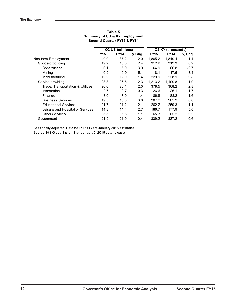l,

|                                   |             | Q2 US (millions) |         |             | Q2 KY (thousands) |        |
|-----------------------------------|-------------|------------------|---------|-------------|-------------------|--------|
|                                   | <b>FY15</b> | <b>FY14</b>      | $%$ Chg | <b>FY15</b> | <b>FY14</b>       | % Chg  |
| Non-farm Employment               | 140.0       | 137.2            | 2.0     | 1.865.2     | 1.840.4           | 1.4    |
| Goods-producing                   | 19.2        | 18.8             | 2.4     | 312.9       | 312.3             | 0.2    |
| Construction                      | 6.1         | 5.9              | 3.9     | 64.9        | 66.8              | $-2.7$ |
| Mining                            | 0.9         | 0.9              | 5.1     | 18.1        | 17.5              | 3.4    |
| Manufacturing                     | 12.2        | 12.0             | 1.4     | 229.9       | 228.1             | 0.8    |
| Service-providing                 | 98.8        | 96.6             | 2.3     | 1.213.2     | 1.190.8           | 1.9    |
| Trade, Transportation & Utilities | 26.6        | 26.1             | 2.0     | 378.5       | 368.2             | 2.8    |
| Information                       | 2.7         | 2.7              | 0.3     | 26.6        | 26.1              | 1.7    |
| Finance                           | 8.0         | 7.9              | 1.4     | 86.8        | 88.2              | $-1.6$ |
| <b>Business Services</b>          | 19.5        | 18.8             | 3.8     | 207.2       | 205.9             | 0.6    |
| <b>Educational Services</b>       | 21.7        | 21.2             | 2.1     | 262.2       | 259.3             | 1.1    |
| Leisure and Hospitality Services  | 14.8        | 14.4             | 2.7     | 186.7       | 177.9             | 5.0    |
| <b>Other Services</b>             | 5.5         | 5.5              | 1.1     | 65.3        | 65.2              | 0.2    |
| Government                        | 21.9        | 21.9             | 0.4     | 339.2       | 337.2             | 0.6    |

#### **Table 5 Summary of US & KY Employment Second Quarter FY15 & FY14**

Seasonally Adjusted. Data for FY15 Q3 are January 2015 estimates. Source: IHS Global Insight Inc., January 5, 2015 data release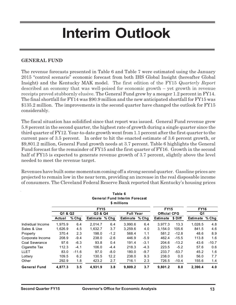## **Interim Outlook**

## **GENERAL FUND**

The revenue forecasts presented in Table 6 and Table 7 were estimated using the January 2015 "control scenario" economic forecast from both IHS Global Insight (hereafter Global Insight) and the Kentucky MAK model. The first edition of the FY15 *Quarterly Report* described an economy that was well-poised for economic growth – yet growth in revenue receipts proved stubbornly elusive. The General Fund grew by a meager 1.2 percent in FY14. The final shortfall for FY14 was \$90.9 million and the new anticipated shortfall for FY15 was \$135.2 million. The improvements in the second quarter have changed the outlook for FY15 considerably.

The fiscal situation has solidified since that report was issued. General Fund revenue grew 5.8 percent in the second quarter, the highest rate of growth during a single quarter since the third quarter of FY12. Year-to-date growth went from 1.1 percent after the first quarter to the current pace of 3.5 percent. In order to hit the enacted estimate of 3.6 percent growth, or \$9,801.2 million, General Fund growth needs at 3.7 percent. Table 6 highlights the General Fund forecast for the remainder of FY15 and the first quarter of FY16. Growth in the second half of FY15 is expected to generate revenue growth of 3.7 percent, slightly above the level needed to meet the revenue target.

Revenues have built some momentum coming off a strong second quarter. Gasoline prices are projected to remain low in the near term, providing an increase in the real disposable income of consumers. The Cleveland Federal Reserve Bank reported that Kentucky's housing prices

|                     |         |         |             |        | Table 6<br><b>General Fund Interim Forecast</b><br>\$ millions |                  |                 |                     |                 |         |
|---------------------|---------|---------|-------------|--------|----------------------------------------------------------------|------------------|-----------------|---------------------|-----------------|---------|
|                     |         |         | <b>FY15</b> |        |                                                                |                  | <b>FY15</b>     |                     | <b>FY16</b>     |         |
|                     | Q1 & Q2 |         | Q3 & Q4     |        |                                                                | <b>Full Year</b> |                 | <b>Official CFG</b> | Q1              |         |
|                     | Actual  | % Chg   | Estimate    | % Chg  | Estimate                                                       | % Chg            | <b>Estimate</b> | \$ Diff             | <b>Estimate</b> | % Chg   |
| Individual Income   | 1.975.9 | 6.4     | 2.014.7     | 6.4    | 3.990.6                                                        | 6.4              | 3,977.3         | 13.3                | 1,028.5         | 4.8     |
| Sales & Use         | 1,626.9 | 4.5     | 1,632.7     | 3.7    | 3,259.6                                                        | 4.0              | 3,154.0         | 105.6               | 841.5           | 4.6     |
| Property            | 370.4   | 2.3     | 198.0       | $-1.2$ | 568.4                                                          | 1.1              | 581.2           | $-12.8$             | 48.6            | 8.9     |
| Corporate Income    | 208.9   | $-9.4$  | 238.0       | $-2.6$ | 446.9                                                          | $-5.9$           | 462.4           | $-15.5$             | 113.8           | 1.6     |
| Coal Severance      | 97.6    | $-6.3$  | 93.8        | 0.4    | 191.4                                                          | $-3.1$           | 204.6           | $-13.2$             | 43.6            | $-10.7$ |
| Cigarette Tax       | 112.3   | $-4.1$  | 106.0       | $-4.4$ | 218.3                                                          | $-4.3$           | 223.5           | $-5.2$              | 57.6            | 0.6     |
| <b>LLET</b>         | 83.0    | $-11.6$ | 97.0        | $-8.0$ | 180.0                                                          | $-9.7$           | 233.7           | $-53.7$             | 45.2            | 1.6     |
| Lottery             | 109.5   | 6.2     | 130.5       | 12.2   | 238.0                                                          | 9.3              | 238.0           | 0.0                 | 56.0            | 7.7     |
| Other               | 292.9   | 1.8     | 423.2       | 2.7    | 716.1                                                          | 2.3              | 726.5           | $-10.4$             | 155.6           | 1.4     |
| <b>General Fund</b> | 4.877.3 | 3.5     | 4.931.9     | 3.8    | 9.809.2                                                        | 3.7              | 9.801.2         | 8.0                 | 2.390.4         | 4.0     |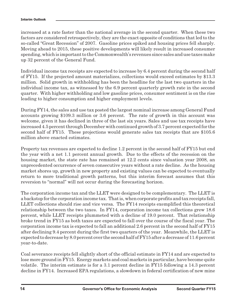increased at a rate faster than the national average in the second quarter. When these two factors are considered retrospectively, they are the exact opposite of conditions that led to the so-called "Great Recession" of 2007. Gasoline prices spiked and housing prices fell sharply. Moving ahead to 2015, these positive developments will likely result in increased consumer spending, which is important to the Commonwealth's revenues since sales and use taxes make up 32 percent of the General Fund.

Individual income tax receipts are expected to increase by 6.4 percent during the second half of FY15. If the projected amount materializes, collections would exceed estimates by \$13.3 million. Solid growth in withholding has been the headline for the last two quarters in the individual income tax, as witnessed by the 6.9 percent quarterly growth rate in the second quarter. With higher withholding and low gasoline prices, consumer sentiment is on the rise leading to higher consumption and higher employment levels.

During FY14, the sales and use tax posted the largest nominal increase among General Fund accounts growing \$109.3 million or 3.6 percent. The rate of growth in this account was welcome, given it has declined in three of the last six years. Sales and use tax receipts have increased 4.5 percent through December with continued growth of 3.7 percent expected for the second half of FY15. These projections would generate sales tax receipts that are \$105.6 million above enacted estimates.

Property tax revenues are expected to decline 1.2 percent in the second half of FY15 but end the year with a net 1.1 percent annual growth. Due to the effects of the recession on the housing market, the state rate has remained at 12.2 cents since valuation year 2008, an unprecedented occurrence of seven consecutive years without a rate decline. As the housing market shores up, growth in new property and existing values can be expected to eventually return to more traditional growth patterns, but this interim forecast assumes that this reversion to "normal" will not occur during the forecasting horizon.

The corporation income tax and the LLET were designed to be complementary. The LLET is a backstop for the corporation income tax. That is, when corporate profits and tax receipts fall, LLET collections should rise and vice versa. The FY14 receipts exemplified this theoretical relationship between the two taxes. In FY14, corporation income tax collections grew 18.6 percent, while LLET receipts plummeted with a decline of 19.0 percent. That relationship broke trend in FY15 as both taxes are expected to fall over the course of the fiscal year. The corporation income tax is expected to fall an additional 2.6 percent in the second half of FY15 after declining 9.4 percent during the first two quarters of the year. Meanwhile, the LLET is expected to decrease by 8.0 percent over the second half of FY15 after a decrease of 11.6 percent year-to-date.

Coal severance receipts fell slightly short of the official estimate in FY14 and are expected to lose more ground in FY15. Energy markets and coal markets in particular, have become quite volatile. The interim estimate is for a 3.1 percent decline in FY15 following a 14.3 percent decline in FY14. Increased EPA regulations, a slowdown in federal certification of new mine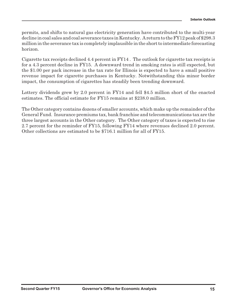million in the severance tax is completely implausible in the short to intermediate forecasting permits, and shifts to natural gas electricity generation have contributed to the multi-year decline in coal sales and coal severance taxes in Kentucky. A return to the FY12 peak of \$298.3 horizon.

Cigarette tax receipts declined 4.4 percent in FY14 . The outlook for cigarette tax receipts is for a 4.3 percent decline in FY15. A downward trend in smoking rates is still expected, but the \$1.00 per pack increase in the tax rate for Illinois is expected to have a small positive revenue impact for cigarette purchases in Kentucky. Notwithstanding this minor border impact, the consumption of cigarettes has steadily been trending downward.

Lottery dividends grew by 2.0 percent in FY14 and fell \$4.5 million short of the enacted estimates. The official estimate for FY15 remains at \$238.0 million.

The Other category contains dozens of smaller accounts, which make up the remainder of the General Fund. Insurance premiums tax, bank franchise and telecommunications tax are the three largest accounts in the Other category. The Other category of taxes is expected to rise 2.7 percent for the reminder of FY15, following FY14 where revenues declined 2.0 percent. Other collections are estimated to be \$716.1 million for all of FY15.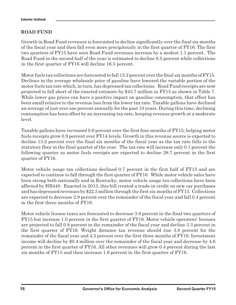## **ROAD FUND**

Growth in Road Fund revenues is forecasted to decline significantly over the final six months of the fiscal year and then fall even more precipitously in the first quarter of FY16. The first two quarters of FY15 have seen Road Fund revenues increase by a modest 1.1 percent. The Road Fund in the second half of the year is estimated to decline 8.5 percent while collections in the first quarter of FY16 will decline 16.5 percent.

Motor fuels tax collections are forecasted to fall 13.2 percent over the final six months of FY15. Declines in the average wholesale price of gasoline have lowered the variable portion of the motor fuels tax rate which, in turn, has depressed tax collections. Road Fund receipts are now projected to fall short of the enacted estimate by \$43.7 million in FY15 as shown in Table 7. While lower gas prices can have a positive impact on gasoline consumption, that effect has been small relative to the revenue loss from the lower tax rate. Taxable gallons have declined an average of just over one percent annually for the past 10 years. During this time, declining consumption has been offset by an increasing tax rate, keeping revenue growth at a moderate level.

Taxable gallons have *increased* 0.6 percent over the first four months of FY15; helping motor fuels receipts grow 0.9 percent over FY14 levels. Growth in this revenue source is expected to decline 13.2 percent over the final six months of the fiscal year as the tax rate falls to the statutory floor in the final quarter of the year. The tax rate will increase only 0.1 percent the following quarter as motor fuels receipts are expected to decline 28.7 percent in the first quarter of FY16.

Motor vehicle usage tax collections declined 0.7 percent in the first half of FY15 and are expected to continue to fall through the first quarter of FY16. While motor vehicle sales have been strong both nationally and in Kentucky, motor vehicle usage tax collections have been affected by HB440. Enacted in 2013, this bill created a trade-in credit on new car purchases and has depressed revenues by \$22.5 million through the first six months of FY15. Collections are expected to decrease 2.9 percent over the remainder of the fiscal year and fall 0.4 percent in the first three months of FY16.

Motor vehicle license taxes are forecasted to decrease 3.8 percent in the final two quarters of FY15 but increase 1.0 percent in the first quarter of FY16. Motor vehicle operators' licenses are projected to fall 0.8 percent in the remainder of the fiscal year and decline 3.3 percent in the first quarter of FY16. Weight distance tax revenue should rise 3.8 percent for the remainder of the fiscal year and 4.5 percent over the first three months of FY16. Investment income will decline by \$0.4 million over the remainder of the fiscal year and decrease by 4.6 percent in the first quarter of FY16. All other revenues will grow 0.4 percent during the last six months of FY15 and then increase 1.6 percent in the first quarter of FY16.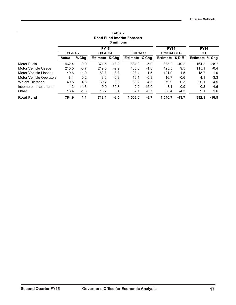|                         |         |        |                | \$ millions | Road Fund Interim Forecast |         |                     |         |                 |         |
|-------------------------|---------|--------|----------------|-------------|----------------------------|---------|---------------------|---------|-----------------|---------|
|                         |         |        | <b>FY15</b>    |             |                            |         | <b>FY15</b>         |         | <b>FY16</b>     |         |
|                         | Q1 & Q2 |        | Q3 & Q4        |             | <b>Full Year</b>           |         | <b>Official CFG</b> |         | Q1              |         |
|                         | Actual  | % Chg  | Estimate % Chg |             | <b>Estimate</b>            | % Chg   | <b>Estimate</b>     | \$ Diff | <b>Estimate</b> | % Chg   |
| <b>Motor Fuels</b>      | 462.4   | 0.9    | 371.6          | $-13.2$     | 834.0                      | $-5.9$  | 883.2               | $-49.2$ | 164.2           | $-28.7$ |
| Motor Vehicle Usage     | 215.5   | $-0.7$ | 219.5          | $-2.9$      | 435.0                      | $-1.8$  | 425.5               | 9.5     | 115.1           | $-0.4$  |
| Motor Vehicle License   | 40.6    | 11.0   | 62.8           | $-3.8$      | 103.4                      | 1.5     | 101.9               | 1.5     | 18.7            | 1.0     |
| Motor Vehicle Operators | 8.1     | 0.2    | 8.0            | $-0.8$      | 16.1                       | $-0.3$  | 16.7                | $-0.6$  | 4.1             | $-3.3$  |
| Weight Distance         | 40.5    | 4.8    | 39.7           | 3.8         | 80.2                       | 4.3     | 79.9                | 0.3     | 20.1            | 4.5     |
| Income on Investments   | 1.3     | 44.3   | 0.9            | $-69.8$     | 2.2                        | $-45.0$ | 3.1                 | $-0.9$  | 0.8             | $-4.6$  |
| Other                   | 16.4    | $-1.6$ | 15.7           | 0.4         | 32.1                       | $-0.7$  | 36.4                | $-4.3$  | 9.1             | 1.6     |
| <b>Road Fund</b>        | 784.9   | 1.1    | 718.1          | $-8.5$      | 1.503.0                    | $-3.7$  | 1.546.7             | $-43.7$ | 332.1           | $-16.5$ |

## **Table 7 Road Fund Interim Forecast**

l,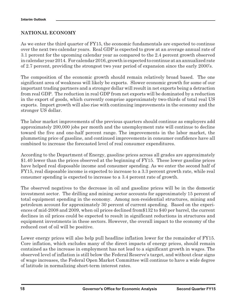## **NATIONAL ECONOMY**

As we enter the third quarter of FY15, the economic fundamentals are expected to continue over the next two calendar years. Real GDP is expected to grow at an average annual rate of 3.1 percent for the upcoming calendar year as compared to the 2.4 percent growth observed in calendar year 2014. For calendar 2016, growth is expected to continue at an annualized rate of 2.7 percent, providing the strongest two year period of expansion since the early 2000's.

The composition of the economic growth should remain relatively broad based. The one significant area of weakness will likely be exports. Slower economic growth for some of our important trading partners and a stronger dollar will result in net exports being a detraction from real GDP. The reduction in real GDP from net exports will be dominated by a reduction in the export of goods, which currently comprise approximately two-thirds of total real US exports. Import growth will also rise with continuing improvements in the economy and the stronger US dollar.

The labor market improvements of the previous quarters should continue as employers add approximately 200,000 jobs per month and the unemployment rate will continue to decline toward the five and one-half percent range. The improvements in the labor market, the plummeting price of gasoline, and continued improvements in consumer confidence have all combined to increase the forecasted level of real consumer expenditures.

According to the Department of Energy, gasoline prices across all grades are approximately \$1.40 lower than the prices observed at the beginning of FY15. These lower gasoline prices have helped real disposable income and consumer spending. As we enter the second half of FY15, real disposable income is expected to increase to a 3.3 percent growth rate, while real consumer spending is expected to increase to a 3.4 percent rate of growth.

The observed negatives to the decrease in oil and gasoline prices will be in the domestic investment sector. The drilling and mining sector accounts for approximately 15 percent of total equipment spending in the economy. Among non-residential structures, mining and petroleum account for approximately 30 percent of current spending. Based on the experiences of mid-2008 and 2009, when oil prices declined from\$132 to \$40 per barrel, the current declines in oil prices could be expected to result in significant reductions in structures and equipment investments in these sectors. However, the overall impact to the economy of the reduced cost of oil will be positive.

Lower energy prices will also help pull headline inflation lower for the remainder of FY15. Core inflation, which excludes many of the direct impacts of energy prices, should remain contained as the increase in employment has not lead to a significant growth in wages. The observed level of inflation is still below the Federal Reserve's target, and without clear signs of wage increases, the Federal Open Market Committee will continue to have a wide degree of latitude in normalizing short-term interest rates.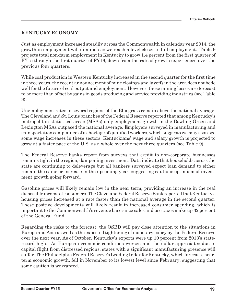## **KENTUCKY ECONOMY**

Just as employment increased steadily across the Commonwealth in calendar year 2014, the growth in employment will diminish as we reach a level closer to full employment. Table 9 projects total non-farm employment in Kentucky to grow 1.4 percent from the first quarter of FY15 through the first quarter of FY16, down from the rate of growth experienced over the previous four quarters.

While coal production in Western Kentucky increased in the second quarter for the first time in three years, the recent announcement of mine closings and layoffs in the area does not bode well for the future of coal output and employment. However, these mining losses are forecast to be more than offset by gains in goods producing and service providing industries (see Table 8).

Unemployment rates in several regions of the Bluegrass remain above the national average. The Cleveland and St. Louis branches of the Federal Reserve reported that among Kentucky's metropolitan statistical areas (MSAs) only employment growth in the Bowling Green and Lexington MSAs outpaced the national average. Employers surveyed in manufacturing and transportation complained of a shortage of qualified workers, which suggests we may soon see some wage increases in these sectors. Kentuckians' wage and salary growth is projected to grow at a faster pace of the U.S. as a whole over the next three quarters (see Table 9).

The Federal Reserve banks report from surveys that credit to non-corporate businesses remains tight in the region, dampening investment. Data indicate that households across the state are continuing to deleverage but all bankers surveyed expect loan demand to either remain the same or increase in the upcoming year, suggesting cautious optimism of investment growth going forward.

Gasoline prices will likely remain low in the near term, providing an increase in the real disposable income of consumers. The Cleveland Federal Reserve Bank reported that Kentucky's housing prices increased at a rate faster than the national average in the second quarter. These positive developments will likely result in increased consumer spending, which is important to the Commonwealth's revenue base since sales and use taxes make up 32 percent of the General Fund.

Regarding the risks to the forecast, the OSBD will pay close attention to the situations in Europe and Asia as well as the expected tightening of monetary policy by the Federal Reserve over the next year. As of October, Kentucky's exports were up 10 percent from 2013's staterecord high. As European economic conditions worsen and the dollar appreciates due to capital flight from distressed regions, states with a significant manufacturing presence will suffer. The Philadelphia Federal Reserve's Leading Index for Kentucky, which forecasts nearterm economic growth, fell in November to its lowest level since February, suggesting that some caution is warranted.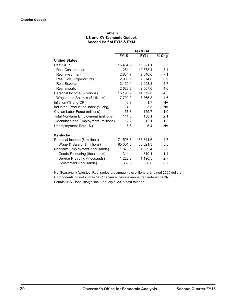|                                      |             | Q3 & Q4     |           |
|--------------------------------------|-------------|-------------|-----------|
|                                      | <b>FY15</b> | <b>FY14</b> | % Chg     |
| <b>United States</b>                 |             |             |           |
| Real GDP                             | 16,484.9    | 15,921.1    | 3.5       |
| Real Consumption                     | 11,251.1    | 10,878.4    | 3.4       |
| Real Investment                      | 2,834.7     | 2,646.0     | 7.1       |
| Real Govt. Expenditures              | 2,900.1     | 2,874.6     | 0.9       |
| <b>Real Exports</b>                  | 2,150.1     | 2,053.8     | 4.7       |
| Real Imports                         | 2,623.2     | 2,507.6     | 4.6       |
| Personal Income (\$ billions)        | 15,198.9    | 14,572.6    | 4.3       |
| Wages and Salaries (\$ billions)     | 7,702.9     | 7,365.8     | 4.6       |
| Inflation (% chg CPI)                | $-0.3$      | 1.7         | <b>NA</b> |
| Industrial Production Index (% chg)  | 4.1         | 3.8         | <b>NA</b> |
| Civilian Labor Force (millions)      | 157.3       | 155.7       | 1.0       |
| Total Non-farm Employment (millions) | 141.0       | 138.1       | 2.1       |
| Manufacturing Employment (millions)  | 12.2        | 12.1        | 1.2       |
| Unemployment Rate (%)                | 5.6         | 6.4         | NA.       |
| Kentucky                             |             |             |           |
| Personal Income (\$ millions)        | 171,598.8   | 163.841.6   | 4.7       |
| Wage & Salary (\$ millions)          | 85,051.8    | 80,621.3    | 5.5       |
| Non-farm Employment (thousands)      | 1,876.5     | 1,839.4     | 2.0       |
| Goods Producing (thousands)          | 314.4       | 310.1       | 1.4       |
| Service Providing (thousands)        | 1,222.6     | 1,190.5     | 2.7       |
| Government (thousands)               | 339.5       | 338.8       | 0.2       |

#### **Second Half of FY15 & FY14 Table 8 US and KY Economic Outlook**

Not Seasonally Adjusted. Real series are annual rate, billions of chained 2000 dollars. Components do not sum to GDP because they are annualized independently. Source: IHS Global Insight Inc., January 5, 2015 data release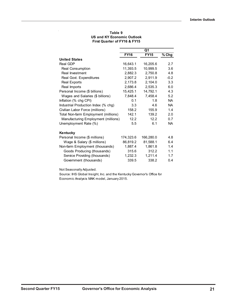|                                      | Q1          |             |           |  |  |
|--------------------------------------|-------------|-------------|-----------|--|--|
|                                      | <b>FY16</b> | <b>FY15</b> | % Chg     |  |  |
| <b>United States</b>                 |             |             |           |  |  |
| Real GDP                             | 16,643.1    | 16,205.6    | 2.7       |  |  |
| Real Consumption                     | 11,393.5    | 10,999.5    | 3.6       |  |  |
| Real Investment                      | 2,882.3     | 2,750.8     | 4.8       |  |  |
| Real Govt. Expenditures              | 2,907.2     | 2,911.9     | $-0.2$    |  |  |
| <b>Real Exports</b>                  | 2,173.8     | 2,104.0     | 3.3       |  |  |
| Real Imports                         | 2,686.4     | 2,535.3     | 6.0       |  |  |
| Personal Income (\$ billions)        | 15,425.1    | 14,792.1    | 4.3       |  |  |
| Wages and Salaries (\$ billions)     | 7,848.4     | 7,458.4     | 5.2       |  |  |
| Inflation (% chg CPI)                | 0.1         | 1.8         | <b>NA</b> |  |  |
| Industrial Production Index (% chg)  | 3.3         | 4.6         | <b>NA</b> |  |  |
| Civilian Labor Force (millions)      | 158.2       | 155.9       | 1.4       |  |  |
| Total Non-farm Employment (millions) | 142.1       | 139.2       | 2.0       |  |  |
| Manufacturing Employment (millions)  | 12.2        | 12.2        | 0.7       |  |  |
| Unemployment Rate (%)                | 5.5         | 6.1         | NA.       |  |  |
| Kentucky                             |             |             |           |  |  |
| Personal Income (\$ millions)        | 174,323.6   | 166,280.0   | 4.8       |  |  |
| Wage & Salary (\$ millions)          | 86,819.2    | 81,588.1    | 6.4       |  |  |
| Non-farm Employment (thousands)      | 1,887.4     | 1,861.8     | 1.4       |  |  |
| Goods Producing (thousands)          | 315.6       | 312.2       | 1.1       |  |  |
| Service Providing (thousands)        | 1,232.3     | 1,211.4     | 1.7       |  |  |
| Government (thousands)               | 339.5       | 338.2       | 0.4       |  |  |

#### **First Quarter of FY16 & FY15 Table 9 US and KY Economic Outlook**

Not Seasonally Adjusted.

Source: IHS Global Insight, Inc. and the Kentucky Governor's Office for Economic Analysis MAK model, January 2015.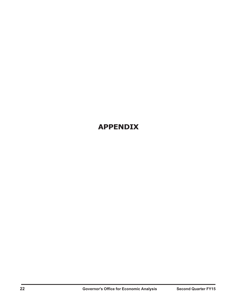## **APPENDIX**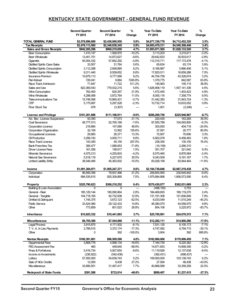### **KENTUCKY STATE GOVERNMENT - GENERAL FUND REVENUE**

|                                        | <b>Second Quarter</b><br>FY 2015 | <b>Second Quarter</b><br>FY 2014 | %<br>Change | Year-To-Date<br>FY 2015 | Year-To-Date<br>FY 2014 | %<br>Change |
|----------------------------------------|----------------------------------|----------------------------------|-------------|-------------------------|-------------------------|-------------|
| <b>TOTAL GENERAL FUND</b>              | \$2,578,896,689                  | \$2,438,080,950                  | 5.8%        | \$4,877,338,778         | \$4,712,452,320         | 3.5%        |
| <b>Tax Receipts</b>                    | \$2,478,113,500                  | \$2,340,838,345                  | 5.9%        | \$4,693,479,311         | \$4,540,308,446         | 3.4%        |
| <b>Sales and Gross Receipts</b>        | \$942,205,296                    | \$900,219,850                    | 4.7%        | \$1,893,971,565         | \$1,826,133,520         | 3.7%        |
| <b>Beer Consumption</b>                | 1,410,147                        | 1,569,970                        | $-10.2%$    | 3,113,203               | 3,215,611               | $-3.2%$     |
| <b>Beer Wholesale</b>                  | 13,451,751                       | 14,873,627                       | $-9.6%$     | 29,642,833              | 30,503,617              | $-2.8%$     |
| <b>Cigarette</b>                       | 55,054,332                       | 57,852,292                       | $-4.8%$     | 112,315,711             | 117, 173, 478           | $-4.1%$     |
| <b>Distilled Spirits Case Sales</b>    | 33,557                           | 31,764                           | 5.6%        | 65,634                  | 63,174                  | 3.9%        |
| <b>Distilled Spirits Consumption</b>   | 3,112,288                        | 2,848,885                        | 9.2%        | 6,166,887               | 5,866,406               | 5.1%        |
| <b>Distilled Spirits Wholesale</b>     | 9,311,440                        | 8,559,652                        | 8.8%        | 17,825,011              | 16,659,286              | 7.0%        |
| <b>Insurance Premium</b>               | 10,679,113                       | 9,777,066                        | 9.2%        | 44,704,759              | 43,326,674              | 3.2%        |
| Pari-Mutuel                            | 726,041                          | 9,884                            | 7245.8%     | 1,379,775               | 842,097                 | 63.8%       |
| Race Track Admission                   | 71,647                           | 11,722                           | 511.2%      | 145,963                 | 105,115                 | 38.9%       |
| Sales and Use                          | 822,369,543                      | 779,032,215                      | 5.6%        | 1,626,908,119           | 1,557,141,336           | 4.5%        |
| <b>Wine Consumption</b>                | 762,400                          | 625,357                          | 21.9%       | 1,472,455               | 1,403,423               | 4.9%        |
| <b>Wine Wholesale</b>                  | 4,298,068                        | 3,872,764                        | 11.0%       | 8,055,116               | 7,358,774               | 9.5%        |
| <b>Telecommunications Tax</b>          | 15,748,596                       | 15,860,431                       | $-0.7%$     | 31,442,383              | 31,843,724              | $-1.3%$     |
| ΟTP                                    | 5,175,697                        | 5,297,528                        | $-2.3%$     | 10,732,714              | 10,633,052              | 0.9%        |
| Floor Stock Tax                        | 678                              | (3,307)                          | ---         | 1,001                   | (2,246)                 |             |
|                                        |                                  |                                  |             |                         |                         |             |
| <b>License and Privilege</b>           | \$101,201,888                    | \$111,166,911                    | $-9.0%$     | \$206,269,750           | \$225,946,967           | $-8.7%$     |
| Alc. Bev. License Suspension           | 93,350                           | 77,073                           | 21.1%       | 220,430                 | 163.265                 | 35.0%       |
| Coal Severance                         | 48,777,013                       | 52,765,189                       | $-7.6%$     | 97,550,789              | 104,093,800             | $-6.3%$     |
| Corporation License                    | 218,884                          | 147,080                          | 48.8%       | 303,930                 | 404,718                 | $-24.9%$    |
| Corporation Organization               | 32,106                           | 12,562                           | 155.6%      | 37,591                  | 20,777                  | 80.9%       |
| <b>Occupational Licenses</b>           | 29,883                           | 26,371                           | 13.3%       | 72,907                  | 70,606                  | 3.3%        |
| <b>Oil Production</b>                  | 3.299.742                        | 3,005,711                        | 9.8%        | 6,563,078               | 6,458,483               | 1.6%        |
| Race Track License                     | 143,350                          | 40,150                           | 257.0%      | 238,350                 | 135,150                 | 76.4%       |
| <b>Bank Franchise Tax</b>              | 306,477                          | 1,086,653                        | $-71.8%$    | (16, 159)               | 2,266,310               | $---$       |
| <b>Driver License Fees</b>             | 161,256                          | 158,917                          | 1.5%        | 351,707                 | 321,642                 | 9.3%        |
| Mnerals Severance                      | 4,075,213                        | 4,255,603                        | $-4.2%$     | 8,575,460               | 8,876,584               | $-3.4%$     |
| Natural Gas Severance                  |                                  |                                  | 30.5%       | 9,343,509               |                         | 1.7%        |
|                                        | 5,518,119                        | 4,227,670<br>45,363,932          | $-15.0%$    | 83,028,158              | 9,191,167<br>93,944,464 | $-11.6%$    |
| <b>Limited Liability Entity</b>        | 38,546,495                       |                                  |             |                         |                         |             |
| Income                                 | \$1,091,384,971                  | \$1,005,247,371                  | 8.6%        | \$2,184,739,846         | \$2,087,219,438         | 4.7%        |
| Corporation                            | 96,849,356                       | 79,937,486                       | 21.2%       | 208,854,950             | 230,645,842             | $-9.4%$     |
| Individual                             | 994,535,615                      | 925,309,885                      | 7.5%        | 1,975,884,896           | 1,856,573,595           | 6.4%        |
| <b>Property</b>                        | \$325.790.623                    | \$306,218,252                    | 6.4%        | \$370,430,077           | \$362,031,669           | 2.3%        |
| <b>Building &amp; Loan Association</b> | 0                                | 0                                | ---         | (498, 150)              | 5,753                   | ---         |
| General - Real                         | 185, 129, 144                    | 180,090,664                      | 2.8%        | 184,469,693             | 180,119,270             | 2.4%        |
| General - Tangible                     | 104,718,165                      | 92,732,008                       | 12.9%       | 131, 191, 308           | 121,606,849             | 7.9%        |
| <b>Omitted &amp; Delinquent</b>        | 1,745,375                        | 3,672,123                        | $-52.5%$    | 6.033.049               | 11,015,249              | $-45.2%$    |
| <b>Public Service</b>                  | 33,424,080                       | 29,122,433                       | 14.8%       | 48,380,070              | 44,058,575              | 9.8%        |
| Other                                  | 773,859                          | 601,023                          | 28.8%       | 854,106                 | 5,225,972               | $-83.7%$    |
| Inheritance                            | \$10,825,332                     | \$10,441,893                     | 3.7%        | \$25,785,961            | \$24,076,572            | 7.1%        |
| <b>Miscellaneous</b>                   | \$6,705,390                      | \$7,544,068                      | $-11.1%$    | \$12,282,111            | \$14,900,280            | $-17.6%$    |
| <b>Legal Process</b>                   | 3,915,875                        | 4,171,502                        | $-6.1%$     | 7,531,125               | 8,105,173               | $-7.1%$     |
| T. V. A. In Lieu Payments              | 2,789,515                        | 3,372,174                        | $-17.3%$    | 4,747,082               | 6,794,715               | $-30.1%$    |
| Other                                  | 0                                | 392                              | $-100.0\%$  | 3,904                   | 392                     | 895.8%      |
| <b>Nontax Receipts</b>                 | \$100,391,601                    | \$96,509,590                     | 4.0%        | \$182,960,060           | \$170,906,459           | 7.1%        |
| Departmental Fees                      | 3.808.778                        | 4,568,134                        | $-16.6%$    | 7,164,730               | 8,220,362               | $-12.8%$    |
| <b>PSC Assessment Fee</b>              | 460                              | 449,640                          | $-99.9%$    | 14,671,653              | 14,699,356              | $-0.2%$     |
| <b>Fines &amp; Forfeitures</b>         | 5,416,734                        | 5,927,654                        | $-8.6%$     | 11,119,926              | 12, 137, 638            | $-8.4%$     |
| Income on Investments                  | (236, 922)                       | (542, 436)                       | ---         | (392, 431)              | (698, 437)              | ---         |
| Lottery                                | 57,500,000                       | 54,639,743                       | 5.2%        | 109,500,000             | 103, 139, 743           | 6.2%        |
| Sale of NO <sub>x</sub> Credits        | 12,000                           | 9,438                            | 27.2%       | 27,594                  | 48,438                  | $-43.0%$    |
| Mscellaneous                           |                                  |                                  |             |                         |                         |             |
|                                        | 33,890,551                       | 31,457,417                       | 7.7%        | 40,868,589              | 33,359,359              | 22.5%       |